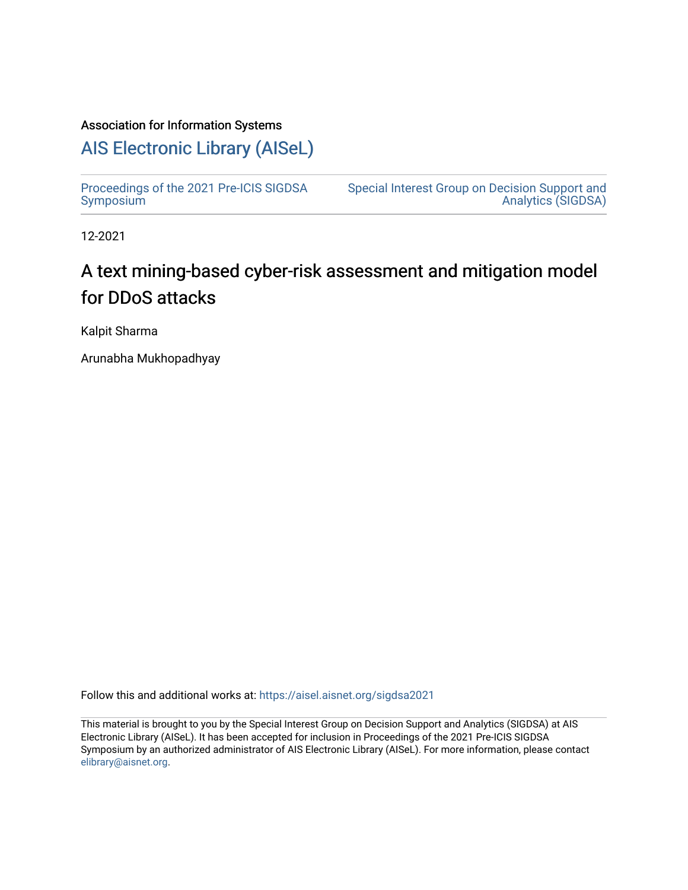## Association for Information Systems

## [AIS Electronic Library \(AISeL\)](https://aisel.aisnet.org/)

[Proceedings of the 2021 Pre-ICIS SIGDSA](https://aisel.aisnet.org/sigdsa2021)  [Symposium](https://aisel.aisnet.org/sigdsa2021) 

[Special Interest Group on Decision Support and](https://aisel.aisnet.org/sigdsa)  [Analytics \(SIGDSA\)](https://aisel.aisnet.org/sigdsa) 

12-2021

## A text mining-based cyber-risk assessment and mitigation model for DDoS attacks

Kalpit Sharma

Arunabha Mukhopadhyay

Follow this and additional works at: [https://aisel.aisnet.org/sigdsa2021](https://aisel.aisnet.org/sigdsa2021?utm_source=aisel.aisnet.org%2Fsigdsa2021%2F1&utm_medium=PDF&utm_campaign=PDFCoverPages) 

This material is brought to you by the Special Interest Group on Decision Support and Analytics (SIGDSA) at AIS Electronic Library (AISeL). It has been accepted for inclusion in Proceedings of the 2021 Pre-ICIS SIGDSA Symposium by an authorized administrator of AIS Electronic Library (AISeL). For more information, please contact [elibrary@aisnet.org](mailto:elibrary@aisnet.org%3E).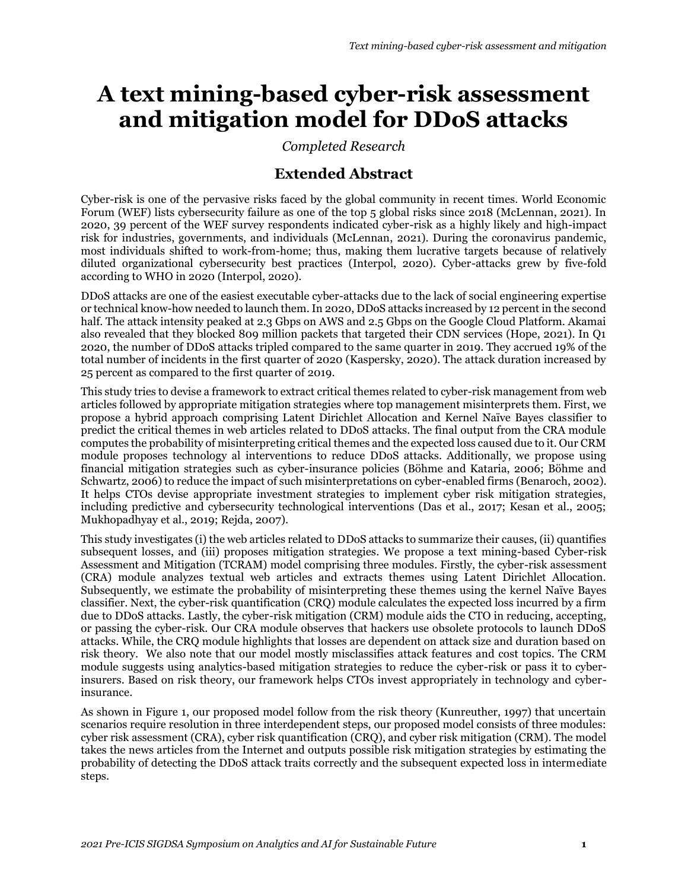# **A text mining-based cyber-risk assessment and mitigation model for DDoS attacks**

*Completed Research*

## **Extended Abstract**

Cyber-risk is one of the pervasive risks faced by the global community in recent times. World Economic Forum (WEF) lists cybersecurity failure as one of the top 5 global risks since 2018 (McLennan, 2021). In 2020, 39 percent of the WEF survey respondents indicated cyber-risk as a highly likely and high-impact risk for industries, governments, and individuals (McLennan, 2021). During the coronavirus pandemic, most individuals shifted to work-from-home; thus, making them lucrative targets because of relatively diluted organizational cybersecurity best practices (Interpol, 2020). Cyber-attacks grew by five-fold according to WHO in 2020 (Interpol, 2020).

DDoS attacks are one of the easiest executable cyber-attacks due to the lack of social engineering expertise or technical know-how needed to launch them. In 2020, DDoS attacks increased by 12 percent in the second half. The attack intensity peaked at 2.3 Gbps on AWS and 2.5 Gbps on the Google Cloud Platform. Akamai also revealed that they blocked 809 million packets that targeted their CDN services (Hope, 2021). In Q1 2020, the number of DDoS attacks tripled compared to the same quarter in 2019. They accrued 19% of the total number of incidents in the first quarter of 2020 (Kaspersky, 2020). The attack duration increased by 25 percent as compared to the first quarter of 2019.

This study tries to devise a framework to extract critical themes related to cyber-risk management from web articles followed by appropriate mitigation strategies where top management misinterprets them. First, we propose a hybrid approach comprising Latent Dirichlet Allocation and Kernel Naïve Bayes classifier to predict the critical themes in web articles related to DDoS attacks. The final output from the CRA module computes the probability of misinterpreting critical themes and the expected loss caused due to it. Our CRM module proposes technology al interventions to reduce DDoS attacks. Additionally, we propose using financial mitigation strategies such as cyber-insurance policies (Böhme and Kataria, 2006; Böhme and Schwartz, 2006) to reduce the impact of such misinterpretations on cyber-enabled firms (Benaroch, 2002). It helps CTOs devise appropriate investment strategies to implement cyber risk mitigation strategies, including predictive and cybersecurity technological interventions (Das et al., 2017; Kesan et al., 2005; Mukhopadhyay et al., 2019; Rejda, 2007).

This study investigates (i) the web articles related to DDoS attacks to summarize their causes, (ii) quantifies subsequent losses, and (iii) proposes mitigation strategies. We propose a text mining-based Cyber-risk Assessment and Mitigation (TCRAM) model comprising three modules. Firstly, the cyber-risk assessment (CRA) module analyzes textual web articles and extracts themes using Latent Dirichlet Allocation. Subsequently, we estimate the probability of misinterpreting these themes using the kernel Naïve Bayes classifier. Next, the cyber-risk quantification (CRQ) module calculates the expected loss incurred by a firm due to DDoS attacks. Lastly, the cyber-risk mitigation (CRM) module aids the CTO in reducing, accepting, or passing the cyber-risk. Our CRA module observes that hackers use obsolete protocols to launch DDoS attacks. While, the CRQ module highlights that losses are dependent on attack size and duration based on risk theory. We also note that our model mostly misclassifies attack features and cost topics. The CRM module suggests using analytics-based mitigation strategies to reduce the cyber-risk or pass it to cyberinsurers. Based on risk theory, our framework helps CTOs invest appropriately in technology and cyberinsurance.

As shown in Figure 1, our proposed model follow from the risk theory (Kunreuther, 1997) that uncertain scenarios require resolution in three interdependent steps, our proposed model consists of three modules: cyber risk assessment (CRA), cyber risk quantification (CRQ), and cyber risk mitigation (CRM). The model takes the news articles from the Internet and outputs possible risk mitigation strategies by estimating the probability of detecting the DDoS attack traits correctly and the subsequent expected loss in intermediate steps.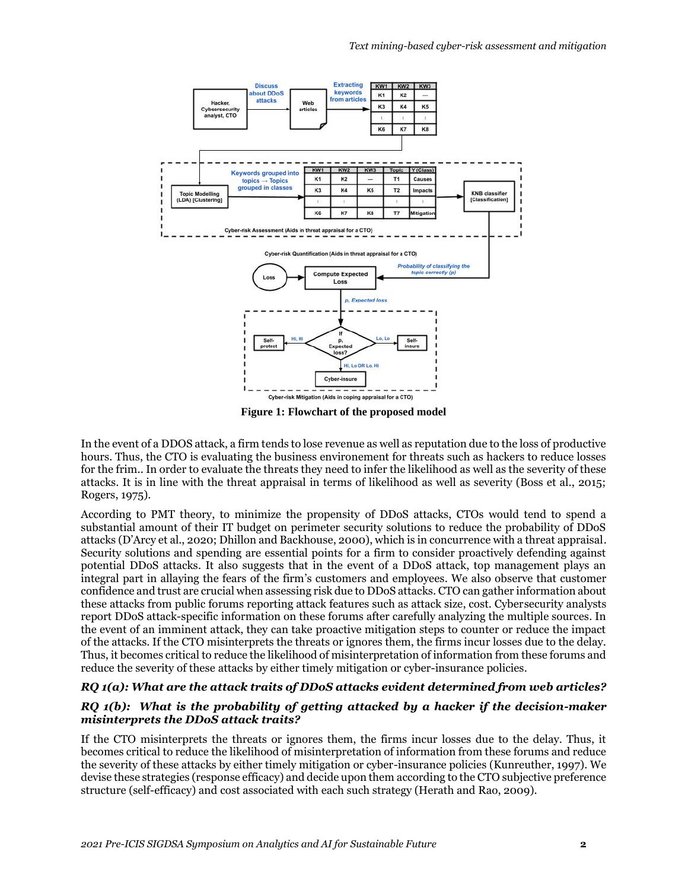

**Figure 1: Flowchart of the proposed model**

In the event of a DDOS attack, a firm tends to lose revenue as well as reputation due to the loss of productive hours. Thus, the CTO is evaluating the business environement for threats such as hackers to reduce losses for the frim.. In order to evaluate the threats they need to infer the likelihood as well as the severity of these attacks. It is in line with the threat appraisal in terms of likelihood as well as severity (Boss et al., 2015; Rogers, 1975).

According to PMT theory, to minimize the propensity of DDoS attacks, CTOs would tend to spend a substantial amount of their IT budget on perimeter security solutions to reduce the probability of DDoS attacks (D'Arcy et al., 2020; Dhillon and Backhouse, 2000), which is in concurrence with a threat appraisal. Security solutions and spending are essential points for a firm to consider proactively defending against potential DDoS attacks. It also suggests that in the event of a DDoS attack, top management plays an integral part in allaying the fears of the firm's customers and employees. We also observe that customer confidence and trust are crucial when assessing risk due to DDoS attacks. CTO can gather information about these attacks from public forums reporting attack features such as attack size, cost. Cybersecurity analysts report DDoS attack-specific information on these forums after carefully analyzing the multiple sources. In the event of an imminent attack, they can take proactive mitigation steps to counter or reduce the impact of the attacks. If the CTO misinterprets the threats or ignores them, the firms incur losses due to the delay. Thus, it becomes critical to reduce the likelihood of misinterpretation of information from these forums and reduce the severity of these attacks by either timely mitigation or cyber-insurance policies.

### *RQ 1(a): What are the attack traits of DDoS attacks evident determined from web articles?*

### *RQ 1(b): What is the probability of getting attacked by a hacker if the decision-maker misinterprets the DDoS attack traits?*

If the CTO misinterprets the threats or ignores them, the firms incur losses due to the delay. Thus, it becomes critical to reduce the likelihood of misinterpretation of information from these forums and reduce the severity of these attacks by either timely mitigation or cyber-insurance policies (Kunreuther, 1997). We devise these strategies (response efficacy) and decide upon them according to the CTO subjective preference structure (self-efficacy) and cost associated with each such strategy (Herath and Rao, 2009).